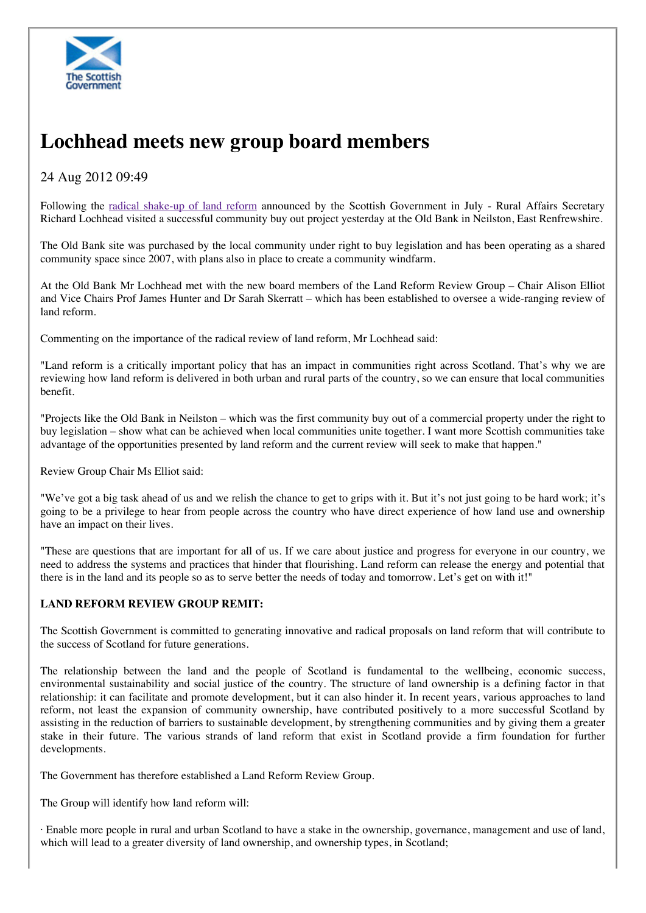

## **Lochhead meets new group board members**

## 24 Aug 2012 09:49

Following the radical shake-up of land reform announced by the Scottish Government in July - Rural Affairs Secretary Richard Lochhead visited a successful community buy out project yesterday at the Old Bank in Neilston, East Renfrewshire.

The Old Bank site was purchased by the local community under right to buy legislation and has been operating as a shared community space since 2007, with plans also in place to create a community windfarm.

At the Old Bank Mr Lochhead met with the new board members of the Land Reform Review Group – Chair Alison Elliot and Vice Chairs Prof James Hunter and Dr Sarah Skerratt – which has been established to oversee a wide-ranging review of land reform.

Commenting on the importance of the radical review of land reform, Mr Lochhead said:

"Land reform is a critically important policy that has an impact in communities right across Scotland. That's why we are reviewing how land reform is delivered in both urban and rural parts of the country, so we can ensure that local communities benefit.

"Projects like the Old Bank in Neilston – which was the first community buy out of a commercial property under the right to buy legislation – show what can be achieved when local communities unite together. I want more Scottish communities take advantage of the opportunities presented by land reform and the current review will seek to make that happen."

Review Group Chair Ms Elliot said:

"We've got a big task ahead of us and we relish the chance to get to grips with it. But it's not just going to be hard work; it's going to be a privilege to hear from people across the country who have direct experience of how land use and ownership have an impact on their lives.

"These are questions that are important for all of us. If we care about justice and progress for everyone in our country, we need to address the systems and practices that hinder that flourishing. Land reform can release the energy and potential that there is in the land and its people so as to serve better the needs of today and tomorrow. Let's get on with it!"

## **LAND REFORM REVIEW GROUP REMIT:**

The Scottish Government is committed to generating innovative and radical proposals on land reform that will contribute to the success of Scotland for future generations.

The relationship between the land and the people of Scotland is fundamental to the wellbeing, economic success, environmental sustainability and social justice of the country. The structure of land ownership is a defining factor in that relationship: it can facilitate and promote development, but it can also hinder it. In recent years, various approaches to land reform, not least the expansion of community ownership, have contributed positively to a more successful Scotland by assisting in the reduction of barriers to sustainable development, by strengthening communities and by giving them a greater stake in their future. The various strands of land reform that exist in Scotland provide a firm foundation for further developments.

The Government has therefore established a Land Reform Review Group.

The Group will identify how land reform will:

· Enable more people in rural and urban Scotland to have a stake in the ownership, governance, management and use of land, which will lead to a greater diversity of land ownership, and ownership types, in Scotland;